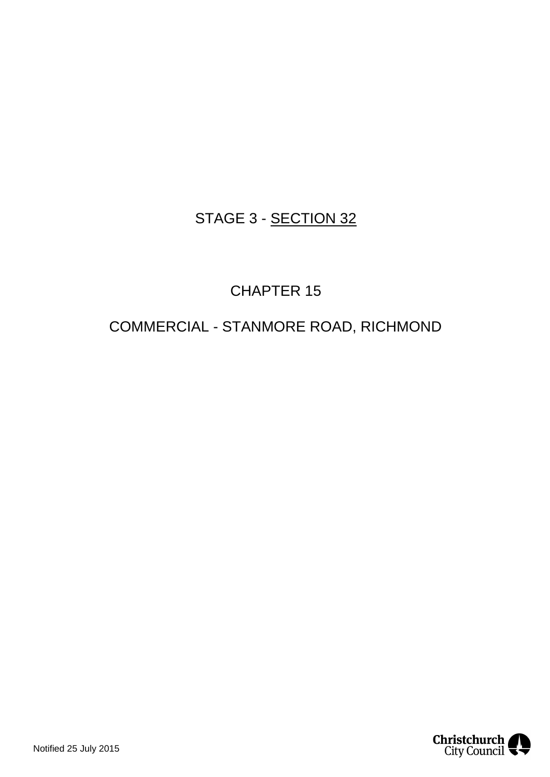## STAGE 3 - SECTION 32

## CHAPTER 15

## COMMERCIAL - STANMORE ROAD, RICHMOND

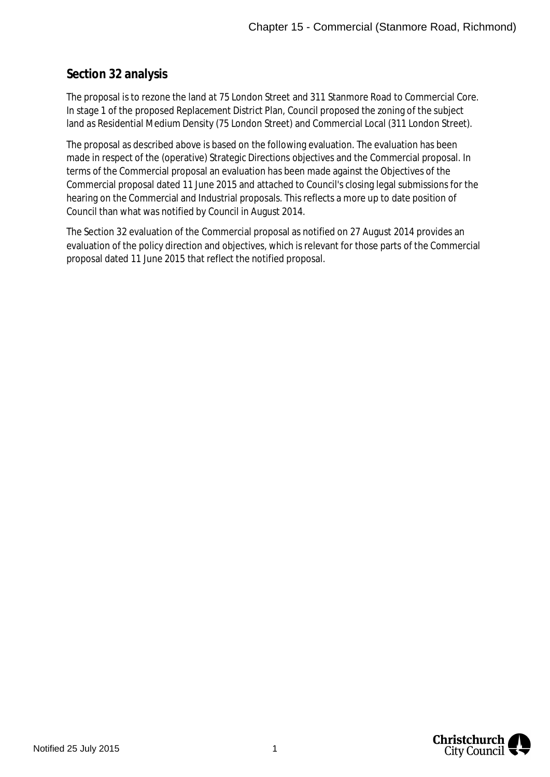## **Section 32 analysis**

The proposal is to rezone the land at 75 London Street and 311 Stanmore Road to Commercial Core. In stage 1 of the proposed Replacement District Plan, Council proposed the zoning of the subject land as Residential Medium Density (75 London Street) and Commercial Local (311 London Street).

The proposal as described above is based on the following evaluation. The evaluation has been made in respect of the (operative) Strategic Directions objectives and the Commercial proposal. In terms of the Commercial proposal an evaluation has been made against the Objectives of the Commercial proposal dated 11 June 2015 and attached to Council's closing legal submissions for the hearing on the Commercial and Industrial proposals. This reflects a more up to date position of Council than what was notified by Council in August 2014.

The Section 32 evaluation of the Commercial proposal as notified on 27 August 2014 provides an evaluation of the policy direction and objectives, which is relevant for those parts of the Commercial proposal dated 11 June 2015 that reflect the notified proposal.

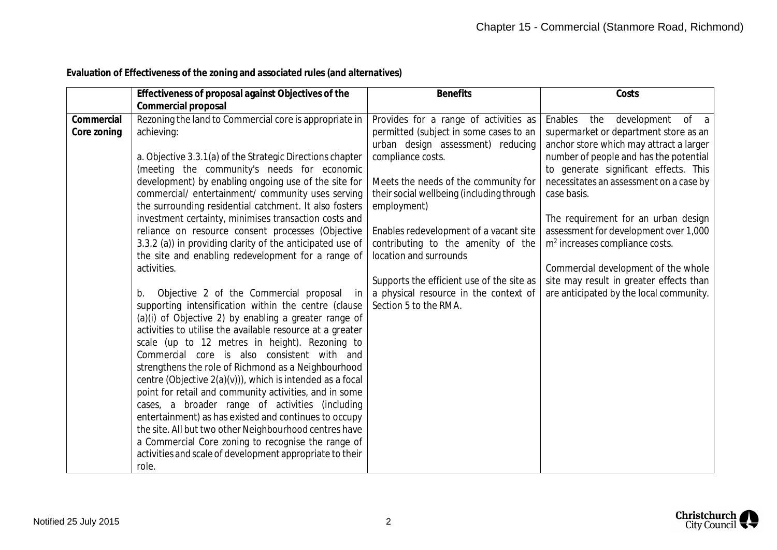| Evaluation of Effectiveness of the zoning and associated rules (and alternatives) |
|-----------------------------------------------------------------------------------|
|-----------------------------------------------------------------------------------|

|                           | Effectiveness of proposal against Objectives of the                                                                                                                                                                                                                                                                                                                                                                                                                                                                                                                                                                                                                                                                                                                                                                                                                                                                                                                                                                                                                                                                                                                                                                                                                                                                                                                                                                                                | <b>Benefits</b>                                                                                                                                                                                                                                                                                                                                                                                                                                                        | Costs                                                                                                                                                                                                                                                                                                                                                                                                                                                                                                                   |
|---------------------------|----------------------------------------------------------------------------------------------------------------------------------------------------------------------------------------------------------------------------------------------------------------------------------------------------------------------------------------------------------------------------------------------------------------------------------------------------------------------------------------------------------------------------------------------------------------------------------------------------------------------------------------------------------------------------------------------------------------------------------------------------------------------------------------------------------------------------------------------------------------------------------------------------------------------------------------------------------------------------------------------------------------------------------------------------------------------------------------------------------------------------------------------------------------------------------------------------------------------------------------------------------------------------------------------------------------------------------------------------------------------------------------------------------------------------------------------------|------------------------------------------------------------------------------------------------------------------------------------------------------------------------------------------------------------------------------------------------------------------------------------------------------------------------------------------------------------------------------------------------------------------------------------------------------------------------|-------------------------------------------------------------------------------------------------------------------------------------------------------------------------------------------------------------------------------------------------------------------------------------------------------------------------------------------------------------------------------------------------------------------------------------------------------------------------------------------------------------------------|
| Commercial<br>Core zoning | Commercial proposal<br>Rezoning the land to Commercial core is appropriate in<br>achieving:<br>a. Objective 3.3.1(a) of the Strategic Directions chapter<br>(meeting the community's needs for economic<br>development) by enabling ongoing use of the site for<br>commercial/ entertainment/ community uses serving<br>the surrounding residential catchment. It also fosters<br>investment certainty, minimises transaction costs and<br>reliance on resource consent processes (Objective<br>3.3.2 (a)) in providing clarity of the anticipated use of<br>the site and enabling redevelopment for a range of<br>activities.<br>Objective 2 of the Commercial proposal<br>b.<br>in<br>supporting intensification within the centre (clause<br>(a)(i) of Objective 2) by enabling a greater range of<br>activities to utilise the available resource at a greater<br>scale (up to 12 metres in height). Rezoning to<br>Commercial core is also consistent with and<br>strengthens the role of Richmond as a Neighbourhood<br>centre (Objective 2(a)(v))), which is intended as a focal<br>point for retail and community activities, and in some<br>cases, a broader range of activities (including<br>entertainment) as has existed and continues to occupy<br>the site. All but two other Neighbourhood centres have<br>a Commercial Core zoning to recognise the range of<br>activities and scale of development appropriate to their<br>role. | Provides for a range of activities as<br>permitted (subject in some cases to an<br>urban design assessment) reducing<br>compliance costs.<br>Meets the needs of the community for<br>their social wellbeing (including through<br>employment)<br>Enables redevelopment of a vacant site<br>contributing to the amenity of the<br>location and surrounds<br>Supports the efficient use of the site as<br>a physical resource in the context of<br>Section 5 to the RMA. | Enables<br>the<br>development<br>of a<br>supermarket or department store as an<br>anchor store which may attract a larger<br>number of people and has the potential<br>to generate significant effects. This<br>necessitates an assessment on a case by<br>case basis.<br>The requirement for an urban design<br>assessment for development over 1,000<br>$m2$ increases compliance costs.<br>Commercial development of the whole<br>site may result in greater effects than<br>are anticipated by the local community. |

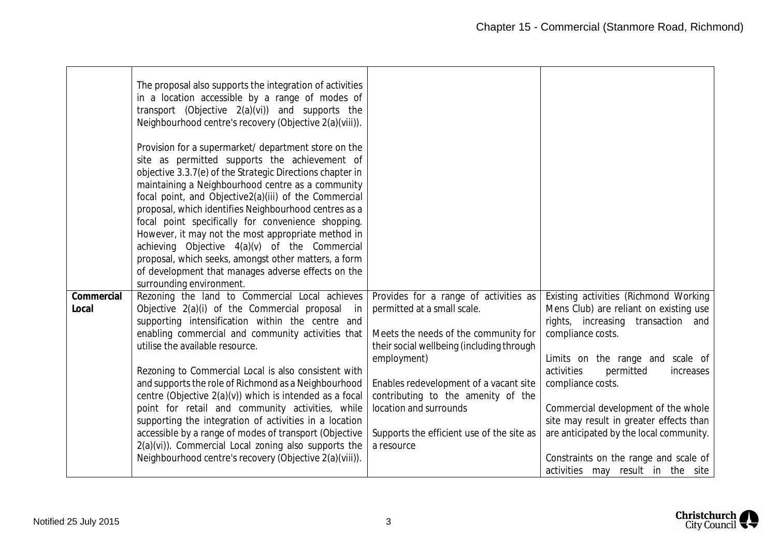|            | The proposal also supports the integration of activities<br>in a location accessible by a range of modes of<br>transport (Objective 2(a)(vi)) and supports the<br>Neighbourhood centre's recovery (Objective 2(a)(viii)). |                                                         |                                                                              |
|------------|---------------------------------------------------------------------------------------------------------------------------------------------------------------------------------------------------------------------------|---------------------------------------------------------|------------------------------------------------------------------------------|
|            | Provision for a supermarket/ department store on the<br>site as permitted supports the achievement of                                                                                                                     |                                                         |                                                                              |
|            | objective 3.3.7(e) of the Strategic Directions chapter in                                                                                                                                                                 |                                                         |                                                                              |
|            | maintaining a Neighbourhood centre as a community<br>focal point, and Objective2(a)(iii) of the Commercial                                                                                                                |                                                         |                                                                              |
|            | proposal, which identifies Neighbourhood centres as a                                                                                                                                                                     |                                                         |                                                                              |
|            | focal point specifically for convenience shopping.                                                                                                                                                                        |                                                         |                                                                              |
|            | However, it may not the most appropriate method in<br>achieving Objective 4(a)(v) of the Commercial                                                                                                                       |                                                         |                                                                              |
|            | proposal, which seeks, amongst other matters, a form                                                                                                                                                                      |                                                         |                                                                              |
|            | of development that manages adverse effects on the                                                                                                                                                                        |                                                         |                                                                              |
|            | surrounding environment.                                                                                                                                                                                                  |                                                         |                                                                              |
| Commercial | Rezoning the land to Commercial Local achieves                                                                                                                                                                            | Provides for a range of activities as                   | Existing activities (Richmond Working                                        |
| Local      | Objective 2(a)(i) of the Commercial proposal<br>in –<br>supporting intensification within the centre and                                                                                                                  | permitted at a small scale.                             | Mens Club) are reliant on existing use<br>rights, increasing transaction and |
|            | enabling commercial and community activities that                                                                                                                                                                         | Meets the needs of the community for                    | compliance costs.                                                            |
|            | utilise the available resource.                                                                                                                                                                                           | their social wellbeing (including through               |                                                                              |
|            |                                                                                                                                                                                                                           | employment)                                             | Limits on the range and scale of                                             |
|            | Rezoning to Commercial Local is also consistent with<br>and supports the role of Richmond as a Neighbourhood                                                                                                              | Enables redevelopment of a vacant site                  | activities<br>permitted<br>increases<br>compliance costs.                    |
|            | centre (Objective 2(a)(v)) which is intended as a focal                                                                                                                                                                   | contributing to the amenity of the                      |                                                                              |
|            | point for retail and community activities, while                                                                                                                                                                          | location and surrounds                                  | Commercial development of the whole                                          |
|            | supporting the integration of activities in a location                                                                                                                                                                    |                                                         | site may result in greater effects than                                      |
|            | accessible by a range of modes of transport (Objective<br>2(a)(vi)). Commercial Local zoning also supports the                                                                                                            | Supports the efficient use of the site as<br>a resource | are anticipated by the local community.                                      |
|            | Neighbourhood centre's recovery (Objective 2(a)(viii)).                                                                                                                                                                   |                                                         | Constraints on the range and scale of                                        |
|            |                                                                                                                                                                                                                           |                                                         | activities may result in the site                                            |

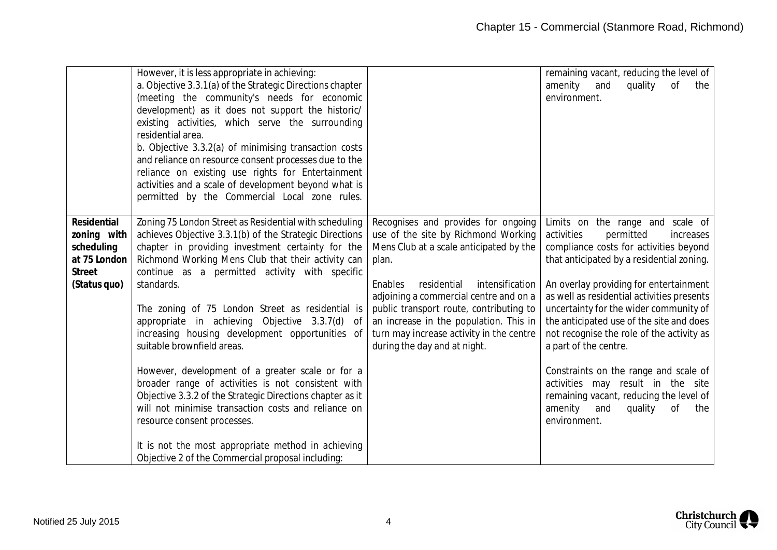|                                                                                    | However, it is less appropriate in achieving:<br>a. Objective 3.3.1(a) of the Strategic Directions chapter<br>(meeting the community's needs for economic<br>development) as it does not support the historic/<br>existing activities, which serve the surrounding<br>residential area.<br>b. Objective 3.3.2(a) of minimising transaction costs<br>and reliance on resource consent processes due to the<br>reliance on existing use rights for Entertainment<br>activities and a scale of development beyond what is<br>permitted by the Commercial Local zone rules.                                                                                                                                                                                                                                                                                        |                                                                                                                                                                                                                                                                                                                                                                                        | remaining vacant, reducing the level of<br>amenity<br>quality<br>and<br>of<br>the<br>environment.                                                                                                                                                                                                                                                                                                                                                                                                                                                                                                      |
|------------------------------------------------------------------------------------|----------------------------------------------------------------------------------------------------------------------------------------------------------------------------------------------------------------------------------------------------------------------------------------------------------------------------------------------------------------------------------------------------------------------------------------------------------------------------------------------------------------------------------------------------------------------------------------------------------------------------------------------------------------------------------------------------------------------------------------------------------------------------------------------------------------------------------------------------------------|----------------------------------------------------------------------------------------------------------------------------------------------------------------------------------------------------------------------------------------------------------------------------------------------------------------------------------------------------------------------------------------|--------------------------------------------------------------------------------------------------------------------------------------------------------------------------------------------------------------------------------------------------------------------------------------------------------------------------------------------------------------------------------------------------------------------------------------------------------------------------------------------------------------------------------------------------------------------------------------------------------|
| Residential<br>zoning with<br>scheduling<br>at 75 London<br>Street<br>(Status quo) | Zoning 75 London Street as Residential with scheduling<br>achieves Objective 3.3.1(b) of the Strategic Directions<br>chapter in providing investment certainty for the<br>Richmond Working Mens Club that their activity can<br>continue as a permitted activity with specific<br>standards.<br>The zoning of 75 London Street as residential is<br>appropriate in achieving Objective 3.3.7(d)<br>0f<br>increasing housing development opportunities of<br>suitable brownfield areas.<br>However, development of a greater scale or for a<br>broader range of activities is not consistent with<br>Objective 3.3.2 of the Strategic Directions chapter as it<br>will not minimise transaction costs and reliance on<br>resource consent processes.<br>It is not the most appropriate method in achieving<br>Objective 2 of the Commercial proposal including: | Recognises and provides for ongoing<br>use of the site by Richmond Working<br>Mens Club at a scale anticipated by the<br>plan.<br>residential<br>intensification<br>Enables<br>adjoining a commercial centre and on a<br>public transport route, contributing to<br>an increase in the population. This in<br>turn may increase activity in the centre<br>during the day and at night. | Limits on the range and scale of<br>activities<br>permitted<br>increases<br>compliance costs for activities beyond<br>that anticipated by a residential zoning.<br>An overlay providing for entertainment<br>as well as residential activities presents<br>uncertainty for the wider community of<br>the anticipated use of the site and does<br>not recognise the role of the activity as<br>a part of the centre.<br>Constraints on the range and scale of<br>activities may result in the site<br>remaining vacant, reducing the level of<br>amenity<br>quality<br>0f<br>and<br>the<br>environment. |